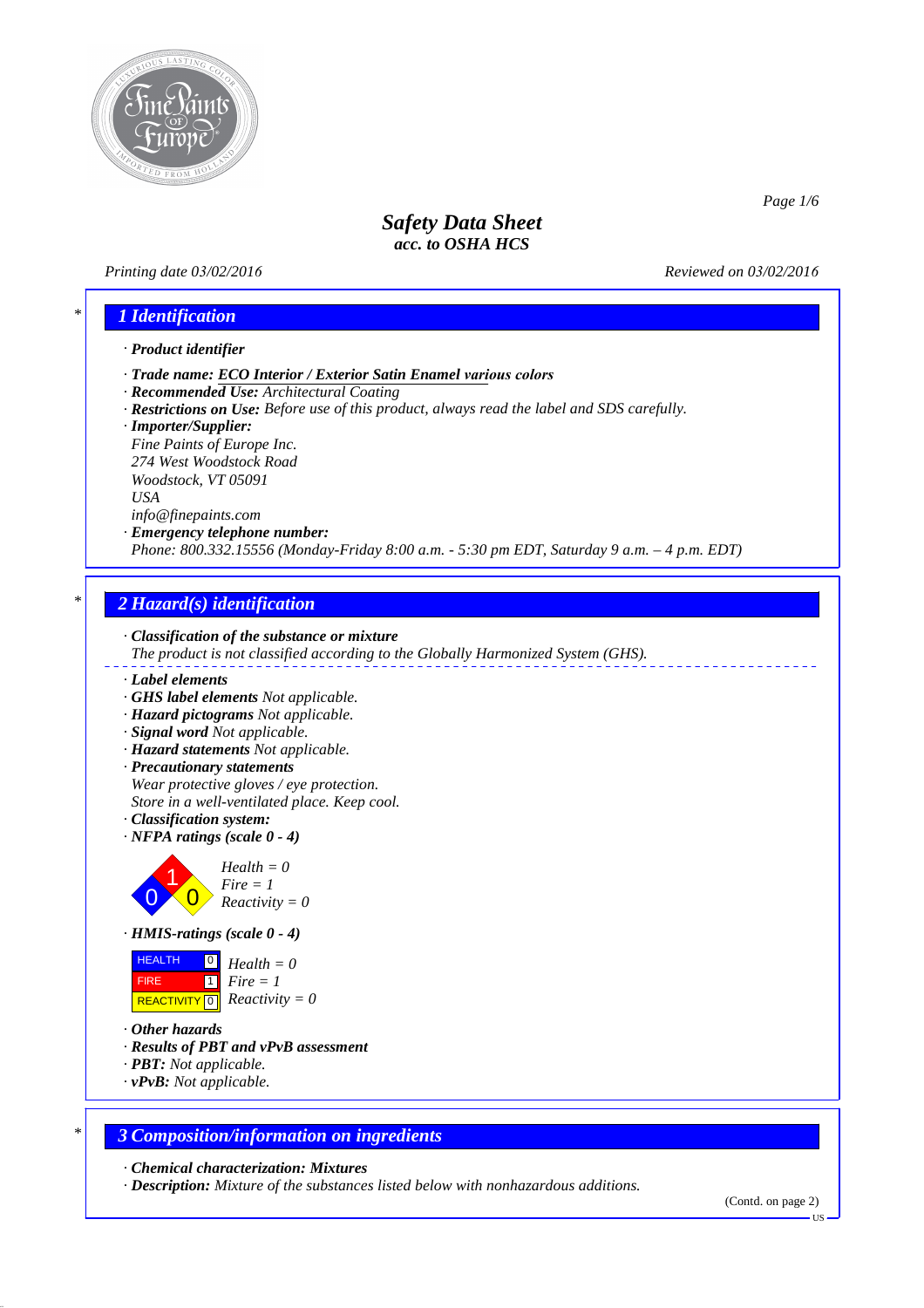

### *Printing date 03/02/2016 Reviewed on 03/02/2016*

*Page 1/6*

# *\* 1 Identification*

### *· Product identifier*

- *· Trade name: ECO Interior / Exterior Satin Enamel various colors*
- *· Recommended Use: Architectural Coating*
- *· Restrictions on Use: Before use of this product, always read the label and SDS carefully.*
- *· Importer/Supplier:*

*Fine Paints of Europe Inc. 274 West Woodstock Road Woodstock, VT 05091 USA info@finepaints.com*

## *· Emergency telephone number:*

*Phone: 800.332.15556 (Monday-Friday 8:00 a.m. - 5:30 pm EDT, Saturday 9 a.m. – 4 p.m. EDT)*

## *\* 2 Hazard(s) identification*



- *· Label elements*
- *· GHS label elements Not applicable.*
- *· Hazard pictograms Not applicable.*
- *· Signal word Not applicable.*
- 
- *· Hazard statements Not applicable.*
- *· Precautionary statements Wear protective gloves / eye protection. Store in a well-ventilated place. Keep cool.*
- *· Classification system:*
- *· NFPA ratings (scale 0 4)*



*Fire = 1 Reactivity = 0*



**HEALTH**  FIRE  $\overline{REACTIVITY \, \vert \, \vert \, \vert}$  *Reactivity = 0* 0 *Health = 0* 1 *Fire = 1*

- *· Other hazards*
- *· Results of PBT and vPvB assessment*
- *· PBT: Not applicable.*
- *· vPvB: Not applicable.*

### *\* 3 Composition/information on ingredients*

*· Chemical characterization: Mixtures*

*· Description: Mixture of the substances listed below with nonhazardous additions.*

<sup>(</sup>Contd. on page 2)

US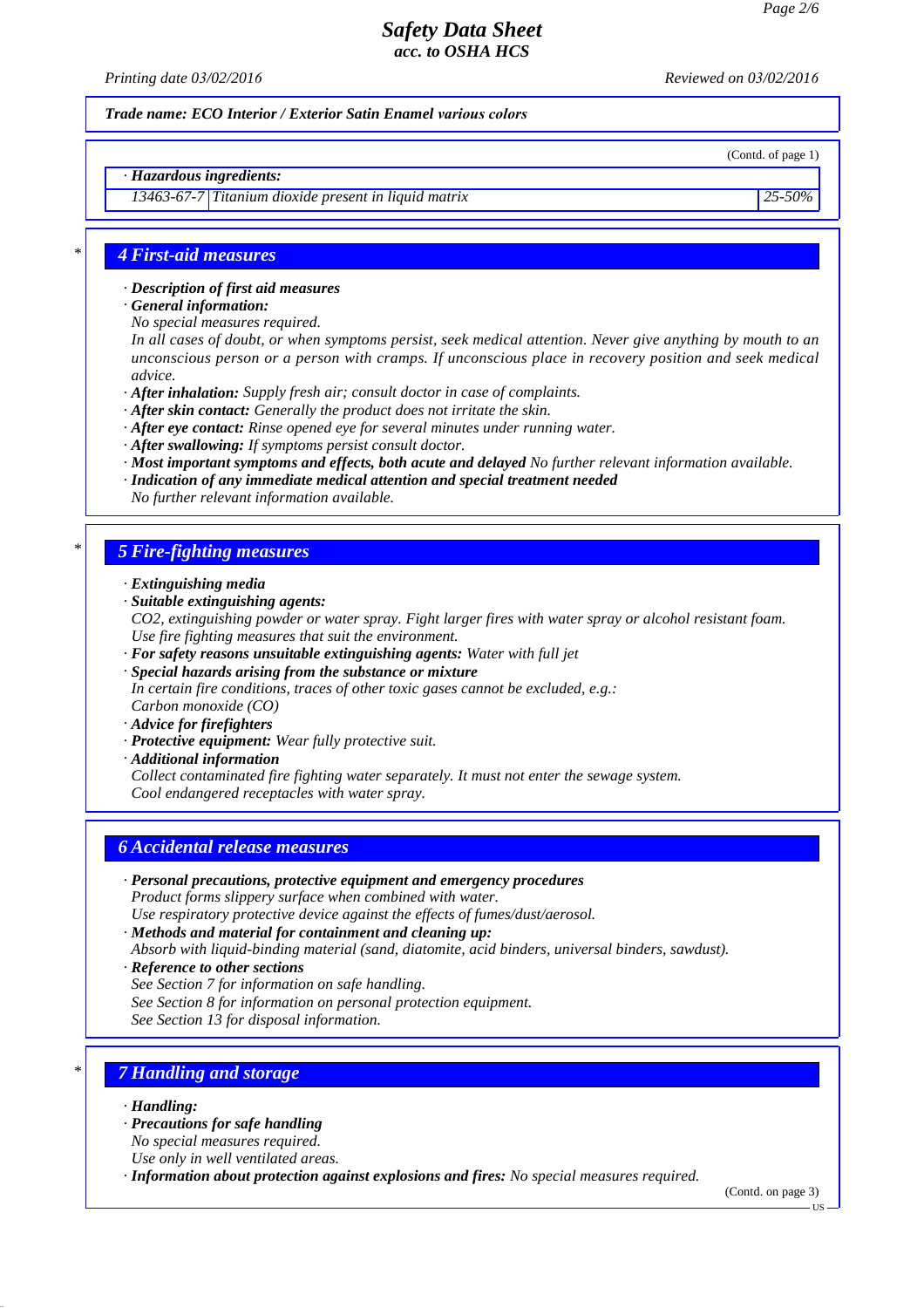*Printing date 03/02/2016 Reviewed on 03/02/2016*

(Contd. of page 1)

*Trade name: ECO Interior / Exterior Satin Enamel various colors*

#### *· Hazardous ingredients:*

*13463-67-7 Titanium dioxide present in liquid matrix 25-50%*

*\* 4 First-aid measures*

*· Description of first aid measures*

*· General information:*

*No special measures required.*

*In all cases of doubt, or when symptoms persist, seek medical attention. Never give anything by mouth to an unconscious person or a person with cramps. If unconscious place in recovery position and seek medical advice.*

*· After inhalation: Supply fresh air; consult doctor in case of complaints.*

- *· After skin contact: Generally the product does not irritate the skin.*
- *· After eye contact: Rinse opened eye for several minutes under running water.*
- *· After swallowing: If symptoms persist consult doctor.*
- *· Most important symptoms and effects, both acute and delayed No further relevant information available.*
- *· Indication of any immediate medical attention and special treatment needed*

*No further relevant information available.*

### *\* 5 Fire-fighting measures*

- *· Extinguishing media*
- *· Suitable extinguishing agents:*

*CO2, extinguishing powder or water spray. Fight larger fires with water spray or alcohol resistant foam. Use fire fighting measures that suit the environment.*

- *· For safety reasons unsuitable extinguishing agents: Water with full jet*
- *· Special hazards arising from the substance or mixture In certain fire conditions, traces of other toxic gases cannot be excluded, e.g.: Carbon monoxide (CO)*
- *· Advice for firefighters*
- *· Protective equipment: Wear fully protective suit.*
- *· Additional information*

*Collect contaminated fire fighting water separately. It must not enter the sewage system. Cool endangered receptacles with water spray.*

### *6 Accidental release measures*

*· Personal precautions, protective equipment and emergency procedures Product forms slippery surface when combined with water.*

*Use respiratory protective device against the effects of fumes/dust/aerosol.*

- *· Methods and material for containment and cleaning up:*
- *Absorb with liquid-binding material (sand, diatomite, acid binders, universal binders, sawdust).*
- *· Reference to other sections*
- *See Section 7 for information on safe handling.*
- *See Section 8 for information on personal protection equipment.*

*See Section 13 for disposal information.*

### *\* 7 Handling and storage*

- *· Handling:*
- *· Precautions for safe handling*
- *No special measures required.*
- *Use only in well ventilated areas.*

*· Information about protection against explosions and fires: No special measures required.*

(Contd. on page 3)

US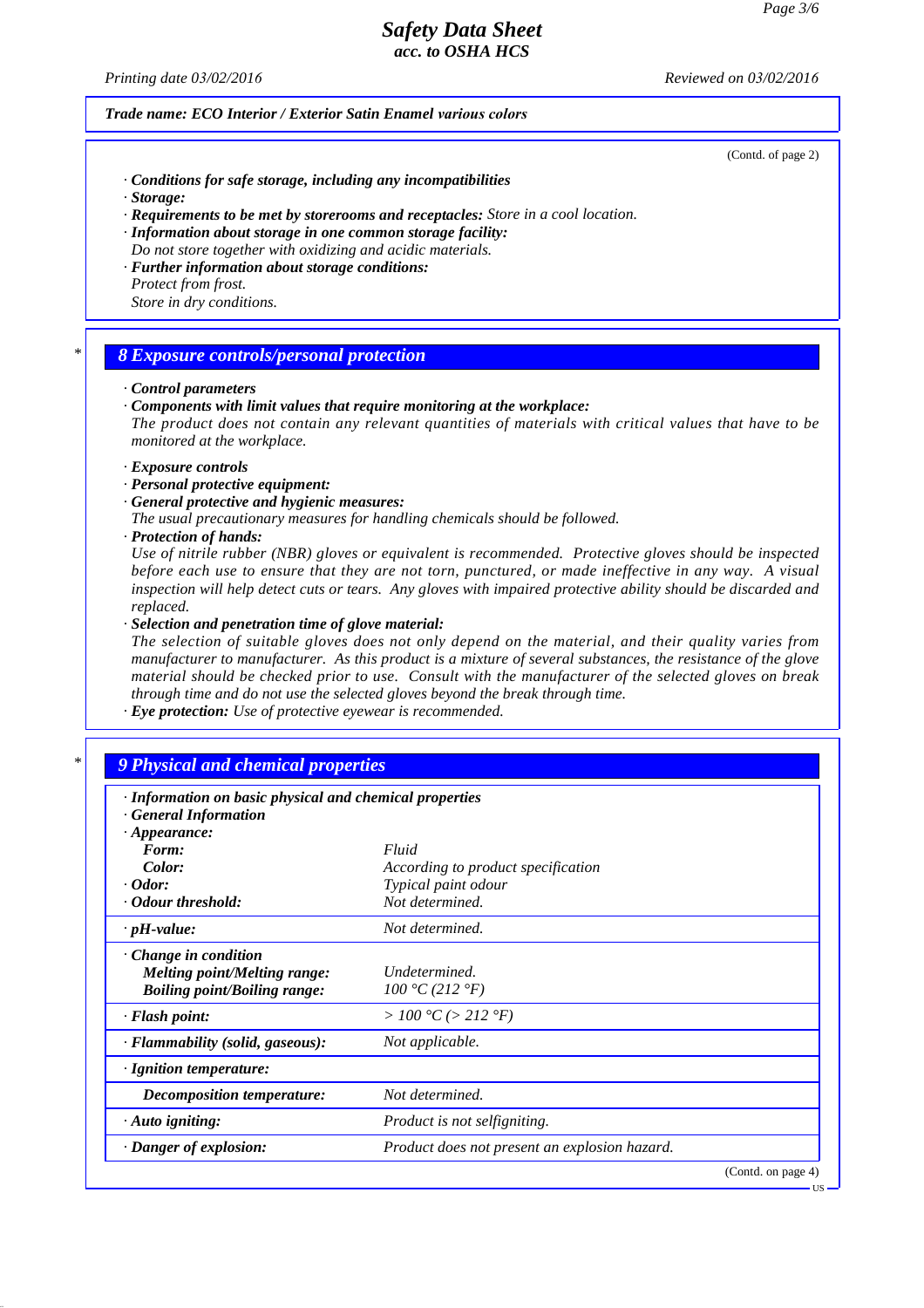*Printing date 03/02/2016 Reviewed on 03/02/2016*

#### *Trade name: ECO Interior / Exterior Satin Enamel various colors*

(Contd. of page 2)

US

- *· Conditions for safe storage, including any incompatibilities*
- *· Storage:*
- *· Requirements to be met by storerooms and receptacles: Store in a cool location.*
- *· Information about storage in one common storage facility:*
- *Do not store together with oxidizing and acidic materials. · Further information about storage conditions:*
- *Protect from frost. Store in dry conditions.*

### *\* 8 Exposure controls/personal protection*

#### *· Control parameters*

*· Components with limit values that require monitoring at the workplace:*

*The product does not contain any relevant quantities of materials with critical values that have to be monitored at the workplace.*

- *· Exposure controls*
- *· Personal protective equipment:*
- *· General protective and hygienic measures:*
- *The usual precautionary measures for handling chemicals should be followed.*
- *· Protection of hands:*

*Use of nitrile rubber (NBR) gloves or equivalent is recommended. Protective gloves should be inspected before each use to ensure that they are not torn, punctured, or made ineffective in any way. A visual inspection will help detect cuts or tears. Any gloves with impaired protective ability should be discarded and replaced.*

*· Selection and penetration time of glove material:*

*The selection of suitable gloves does not only depend on the material, and their quality varies from manufacturer to manufacturer. As this product is a mixture of several substances, the resistance of the glove material should be checked prior to use. Consult with the manufacturer of the selected gloves on break through time and do not use the selected gloves beyond the break through time.*

*· Eye protection: Use of protective eyewear is recommended.*

### *\* 9 Physical and chemical properties*

| · Information on basic physical and chemical properties            |                                               |                    |
|--------------------------------------------------------------------|-----------------------------------------------|--------------------|
| <b>General Information</b><br>$\cdot$ Appearance:                  |                                               |                    |
| Form:                                                              | Fluid                                         |                    |
| Color:                                                             | According to product specification            |                    |
| $\cdot$ Odor:                                                      | Typical paint odour                           |                    |
| · Odour threshold:                                                 | Not determined.                               |                    |
| $\cdot$ pH-value:                                                  | Not determined.                               |                    |
| $\cdot$ Change in condition<br><i>Melting point/Melting range:</i> | Undetermined.                                 |                    |
| <b>Boiling point/Boiling range:</b>                                | 100 °C (212 °F)                               |                    |
| · Flash point:                                                     | >100 °C (> 212 °F)                            |                    |
| · Flammability (solid, gaseous):                                   | Not applicable.                               |                    |
| · Ignition temperature:                                            |                                               |                    |
| Decomposition temperature:                                         | Not determined.                               |                    |
| $\cdot$ Auto igniting:                                             | Product is not selfigniting.                  |                    |
| · Danger of explosion:                                             | Product does not present an explosion hazard. |                    |
|                                                                    |                                               | (Contd. on page 4) |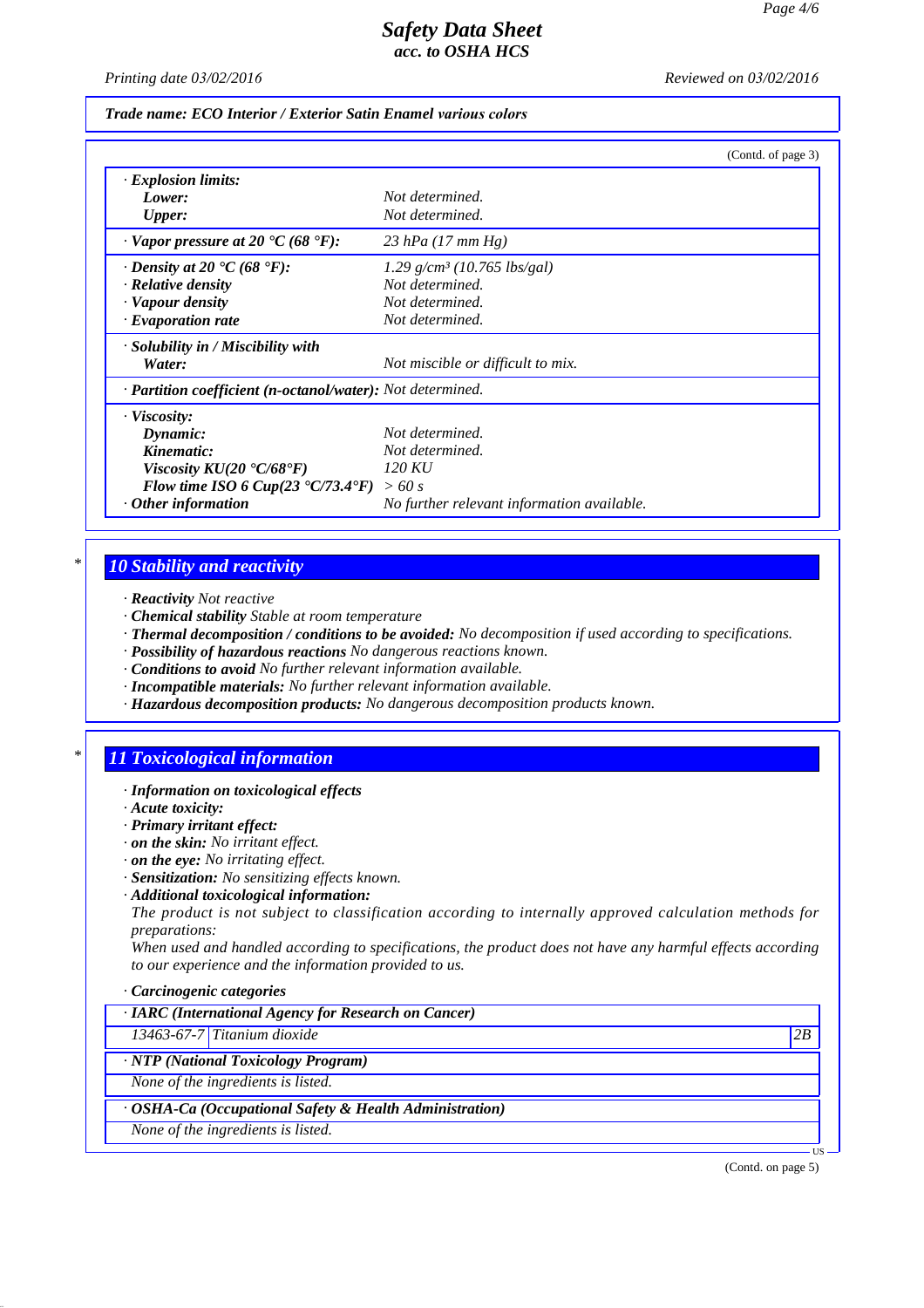*Printing date 03/02/2016 Reviewed on 03/02/2016*

### *Trade name: ECO Interior / Exterior Satin Enamel various colors*

|                                                              | (Contd. of page 3)                         |
|--------------------------------------------------------------|--------------------------------------------|
| <b>Explosion limits:</b>                                     |                                            |
| Lower:                                                       | Not determined.                            |
| <b>Upper:</b>                                                | Not determined.                            |
| $\cdot$ Vapor pressure at 20 °C (68 °F):                     | 23 hPa $(17 \, \text{mm Hg})$              |
| $\cdot$ Density at 20 $\cdot$ C (68 $\cdot$ F):              | $1.29$ g/cm <sup>3</sup> (10.765 lbs/gal)  |
| · Relative density                                           | Not determined.                            |
| · Vapour density                                             | Not determined.                            |
| $\cdot$ Evaporation rate                                     | Not determined.                            |
| $\cdot$ Solubility in / Miscibility with                     |                                            |
| Water:                                                       | Not miscible or difficult to mix.          |
| · Partition coefficient (n-octanol/water): Not determined.   |                                            |
| · Viscosity:                                                 |                                            |
| Dynamic:                                                     | Not determined.                            |
| Kinematic:                                                   | Not determined.                            |
| Viscosity $KU(20 \text{ }^{\circ}C/68 \text{ }^{\circ}F)$    | 120 KU                                     |
| Flow time ISO 6 Cup(23 $\textdegree$ C/73.4 $\textdegree$ F) | >60 s                                      |
| Other information                                            | No further relevant information available. |

### *\* 10 Stability and reactivity*

- *· Reactivity Not reactive*
- *· Chemical stability Stable at room temperature*
- *· Thermal decomposition / conditions to be avoided: No decomposition if used according to specifications.*
- *· Possibility of hazardous reactions No dangerous reactions known.*
- *· Conditions to avoid No further relevant information available.*
- *· Incompatible materials: No further relevant information available.*
- *· Hazardous decomposition products: No dangerous decomposition products known.*

## *\* 11 Toxicological information*

- *· Information on toxicological effects*
- *· Acute toxicity:*
- *· Primary irritant effect:*
- *· on the skin: No irritant effect.*
- *· on the eye: No irritating effect.*
- *· Sensitization: No sensitizing effects known.*
- *· Additional toxicological information:*

*The product is not subject to classification according to internally approved calculation methods for preparations:*

*When used and handled according to specifications, the product does not have any harmful effects according to our experience and the information provided to us.*

#### *· Carcinogenic categories*

*· IARC (International Agency for Research on Cancer)*

*13463-67-7 Titanium dioxide 2B*

*· NTP (National Toxicology Program)*

*None of the ingredients is listed.*

*· OSHA-Ca (Occupational Safety & Health Administration)*

*None of the ingredients is listed.*

(Contd. on page 5)

US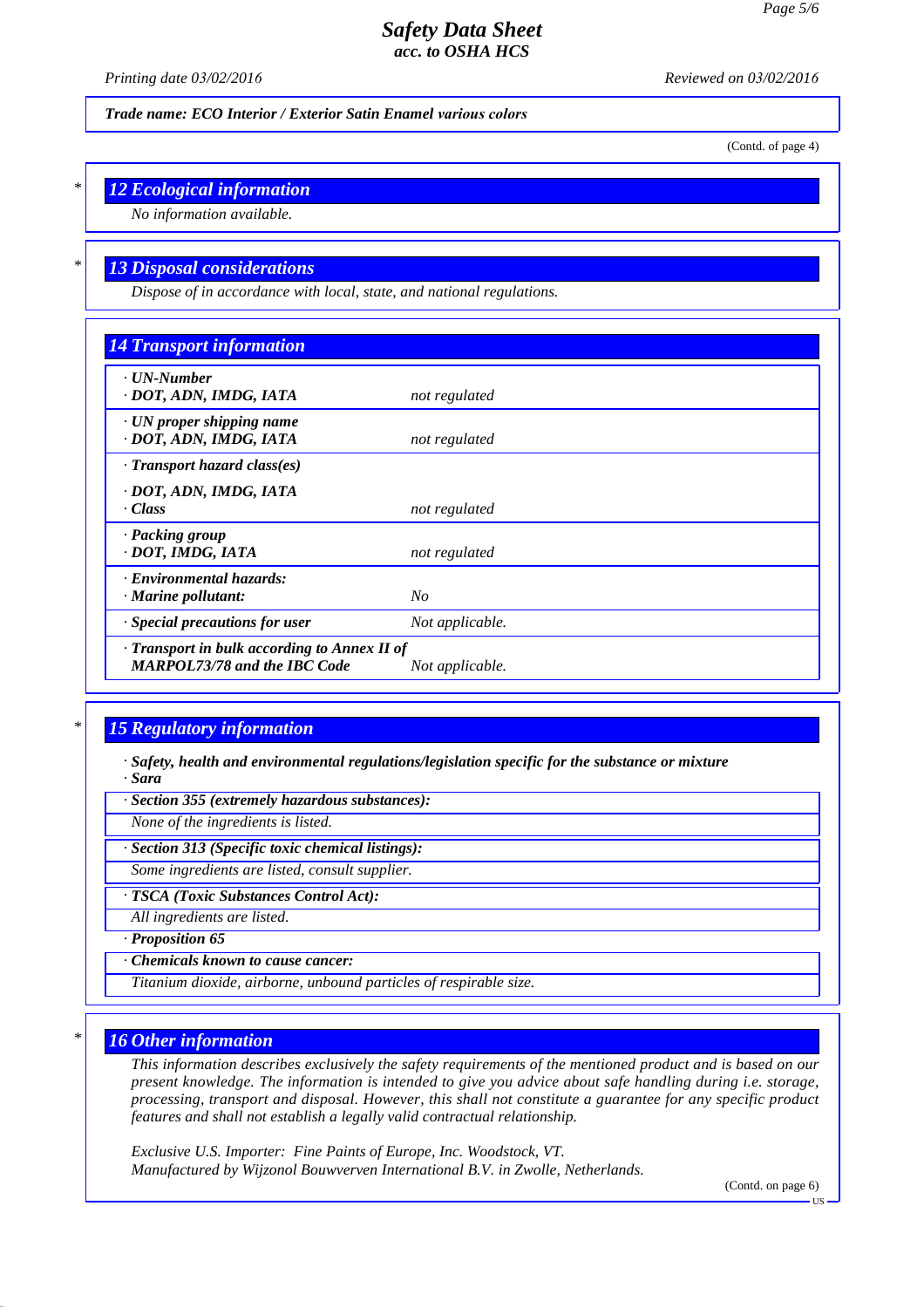*Printing date 03/02/2016 Reviewed on 03/02/2016*

*Trade name: ECO Interior / Exterior Satin Enamel various colors*

(Contd. of page 4)

## *\* 12 Ecological information*

*No information available.*

## *\* 13 Disposal considerations*

*Dispose of in accordance with local, state, and national regulations.*

| <b>14 Transport information</b>                                                     |                 |
|-------------------------------------------------------------------------------------|-----------------|
| · UN-Number<br>· DOT, ADN, IMDG, IATA                                               | not regulated   |
| $\cdot$ UN proper shipping name<br>· DOT, ADN, IMDG, IATA                           | not regulated   |
| $\cdot$ Transport hazard class(es)                                                  |                 |
| · DOT, ADN, IMDG, IATA                                                              |                 |
| · Class                                                                             | not regulated   |
| · Packing group<br>· DOT, IMDG, IATA                                                | not regulated   |
| · Environmental hazards:                                                            |                 |
| $\cdot$ Marine pollutant:                                                           | $N_{O}$         |
| · Special precautions for user                                                      | Not applicable. |
| · Transport in bulk according to Annex II of<br><b>MARPOL73/78 and the IBC Code</b> | Not applicable. |

## *\* 15 Regulatory information*

*· Safety, health and environmental regulations/legislation specific for the substance or mixture · Sara*

*· Section 355 (extremely hazardous substances):*

*None of the ingredients is listed.*

*· Section 313 (Specific toxic chemical listings):*

*Some ingredients are listed, consult supplier.*

*· TSCA (Toxic Substances Control Act):*

*All ingredients are listed.*

*· Proposition 65*

*· Chemicals known to cause cancer:*

*Titanium dioxide, airborne, unbound particles of respirable size.*

### *\* 16 Other information*

*This information describes exclusively the safety requirements of the mentioned product and is based on our present knowledge. The information is intended to give you advice about safe handling during i.e. storage, processing, transport and disposal. However, this shall not constitute a guarantee for any specific product features and shall not establish a legally valid contractual relationship.*

*Exclusive U.S. Importer: Fine Paints of Europe, Inc. Woodstock, VT. Manufactured by Wijzonol Bouwverven International B.V. in Zwolle, Netherlands.*

(Contd. on page 6)

**TIS**